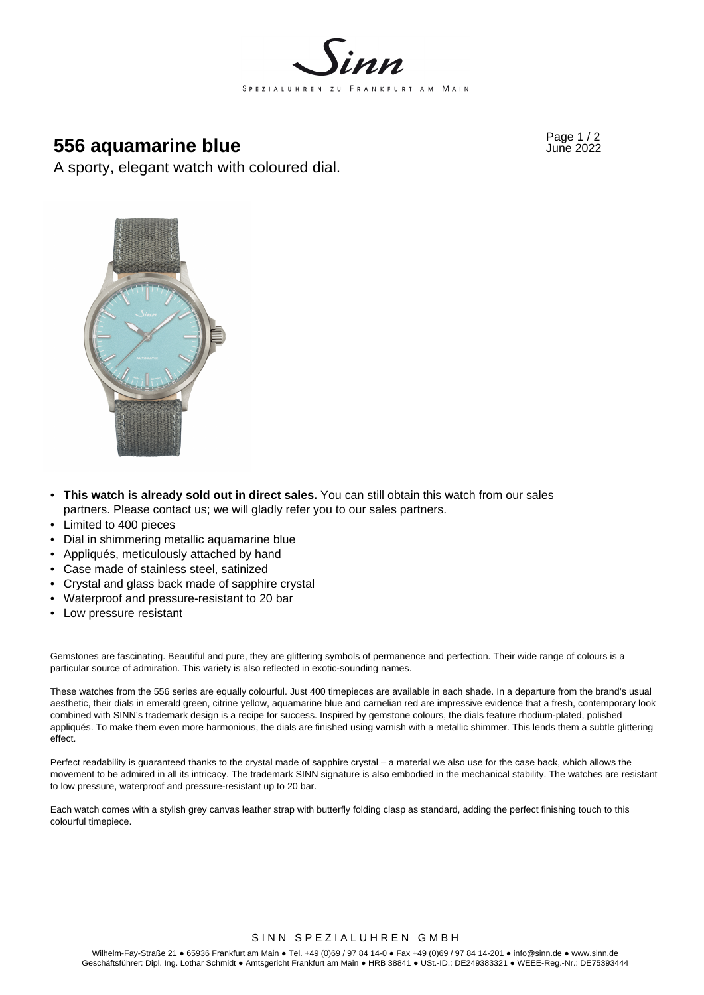

# **556 aquamarine blue Figure 2022 556 aquamarine blue**

A sporty, elegant watch with coloured dial.



- **This watch is already sold out in direct sales.** You can still obtain this watch from our sales partners. Please contact us; we will gladly refer you to our sales partners.
- Limited to 400 pieces
- Dial in shimmering metallic aquamarine blue
- Appliqués, meticulously attached by hand
- Case made of stainless steel, satinized
- Crystal and glass back made of sapphire crystal
- Waterproof and pressure-resistant to 20 bar
- Low pressure resistant

Gemstones are fascinating. Beautiful and pure, they are glittering symbols of permanence and perfection. Their wide range of colours is a particular source of admiration. This variety is also reflected in exotic-sounding names.

These watches from the 556 series are equally colourful. Just 400 timepieces are available in each shade. In a departure from the brand's usual aesthetic, their dials in emerald green, citrine yellow, aquamarine blue and carnelian red are impressive evidence that a fresh, contemporary look combined with SINN's trademark design is a recipe for success. Inspired by gemstone colours, the dials feature rhodium-plated, polished appliqués. To make them even more harmonious, the dials are finished using varnish with a metallic shimmer. This lends them a subtle glittering effect.

Perfect readability is guaranteed thanks to the crystal made of sapphire crystal – a material we also use for the case back, which allows the movement to be admired in all its intricacy. The trademark SINN signature is also embodied in the mechanical stability. The watches are resistant to low pressure, waterproof and pressure-resistant up to 20 bar.

Each watch comes with a stylish grey canvas leather strap with butterfly folding clasp as standard, adding the perfect finishing touch to this colourful timepiece.

SINN SPEZIALUHREN GMBH